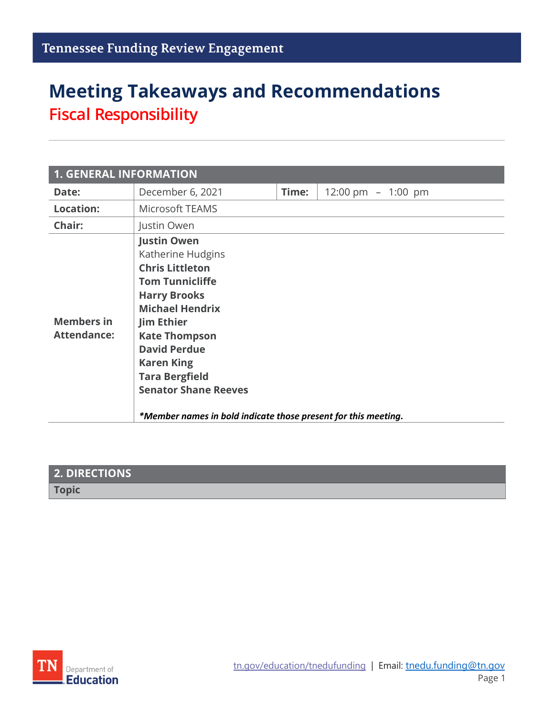# **Meeting Takeaways and Recommendations Fiscal Responsibility**

| <b>1. GENERAL INFORMATION</b>           |                                                                                                                                                                                                                                                                                                                                                                 |       |                      |
|-----------------------------------------|-----------------------------------------------------------------------------------------------------------------------------------------------------------------------------------------------------------------------------------------------------------------------------------------------------------------------------------------------------------------|-------|----------------------|
| Date:                                   | December 6, 2021                                                                                                                                                                                                                                                                                                                                                | Time: | 12:00 pm $-$ 1:00 pm |
| <b>Location:</b>                        | Microsoft TEAMS                                                                                                                                                                                                                                                                                                                                                 |       |                      |
| Chair:                                  | Justin Owen                                                                                                                                                                                                                                                                                                                                                     |       |                      |
| <b>Members in</b><br><b>Attendance:</b> | <b>Justin Owen</b><br>Katherine Hudgins<br><b>Chris Littleton</b><br><b>Tom Tunnicliffe</b><br><b>Harry Brooks</b><br><b>Michael Hendrix</b><br><b>Jim Ethier</b><br><b>Kate Thompson</b><br><b>David Perdue</b><br><b>Karen King</b><br><b>Tara Bergfield</b><br><b>Senator Shane Reeves</b><br>*Member names in bold indicate those present for this meeting. |       |                      |

| <b>2. DIRECTIONS</b> |  |
|----------------------|--|
| <b>Topic</b>         |  |

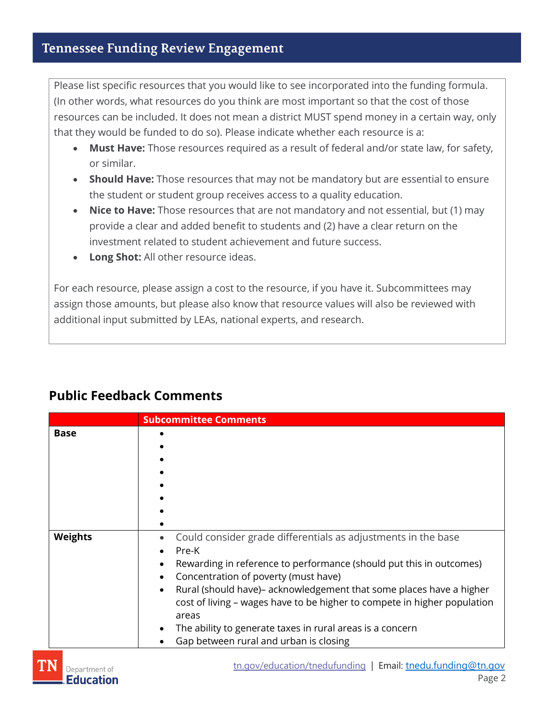Please list specific resources that you would like to see incorporated into the funding formula. (In other words, what resources do you think are most important so that the cost of those resources can be included. It does not mean a district MUST spend money in a certain way, only that they would be funded to do so). Please indicate whether each resource is a:

- **Must Have:** Those resources required as a result of federal and/or state law, for safety, or similar.
- **Should Have:** Those resources that may not be mandatory but are essential to ensure the student or student group receives access to a quality education.
- **Nice to Have:** Those resources that are not mandatory and not essential, but (1) may provide a clear and added benefit to students and (2) have a clear return on the investment related to student achievement and future success.
- **Long Shot:** All other resource ideas.

For each resource, please assign a cost to the resource, if you have it. Subcommittees may assign those amounts, but please also know that resource values will also be reviewed with additional input submitted by LEAs, national experts, and research.

|                | <b>Subcommittee Comments</b>                                                      |  |
|----------------|-----------------------------------------------------------------------------------|--|
| <b>Base</b>    |                                                                                   |  |
|                |                                                                                   |  |
|                |                                                                                   |  |
|                |                                                                                   |  |
|                |                                                                                   |  |
|                |                                                                                   |  |
|                |                                                                                   |  |
|                |                                                                                   |  |
| <b>Weights</b> | Could consider grade differentials as adjustments in the base<br>$\bullet$        |  |
|                | Pre-K                                                                             |  |
|                | Rewarding in reference to performance (should put this in outcomes)<br>٠          |  |
|                | Concentration of poverty (must have)<br>$\bullet$                                 |  |
|                | Rural (should have) – acknowledgement that some places have a higher<br>$\bullet$ |  |
|                | cost of living - wages have to be higher to compete in higher population          |  |
|                | areas                                                                             |  |
|                | The ability to generate taxes in rural areas is a concern<br>$\bullet$            |  |
|                | Gap between rural and urban is closing                                            |  |
|                |                                                                                   |  |

## **Public Feedback Comments**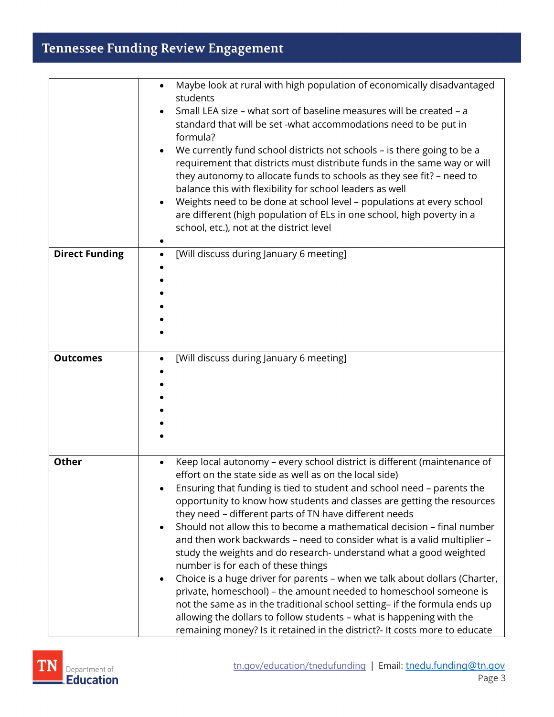# **Tennessee Funding Review Engagement**

|                       | Maybe look at rural with high population of economically disadvantaged<br>$\bullet$<br>students<br>Small LEA size – what sort of baseline measures will be created – a<br>standard that will be set -what accommodations need to be put in<br>formula?<br>We currently fund school districts not schools - is there going to be a<br>requirement that districts must distribute funds in the same way or will<br>they autonomy to allocate funds to schools as they see fit? - need to<br>balance this with flexibility for school leaders as well<br>Weights need to be done at school level - populations at every school<br>are different (high population of ELs in one school, high poverty in a<br>school, etc.), not at the district level                                                                                                                                                                                                                                                                                 |
|-----------------------|-----------------------------------------------------------------------------------------------------------------------------------------------------------------------------------------------------------------------------------------------------------------------------------------------------------------------------------------------------------------------------------------------------------------------------------------------------------------------------------------------------------------------------------------------------------------------------------------------------------------------------------------------------------------------------------------------------------------------------------------------------------------------------------------------------------------------------------------------------------------------------------------------------------------------------------------------------------------------------------------------------------------------------------|
| <b>Direct Funding</b> | [Will discuss during January 6 meeting]<br>$\bullet$                                                                                                                                                                                                                                                                                                                                                                                                                                                                                                                                                                                                                                                                                                                                                                                                                                                                                                                                                                              |
| <b>Outcomes</b>       | [Will discuss during January 6 meeting]                                                                                                                                                                                                                                                                                                                                                                                                                                                                                                                                                                                                                                                                                                                                                                                                                                                                                                                                                                                           |
| <b>Other</b>          | Keep local autonomy - every school district is different (maintenance of<br>$\bullet$<br>effort on the state side as well as on the local side)<br>Ensuring that funding is tied to student and school need - parents the<br>opportunity to know how students and classes are getting the resources<br>they need - different parts of TN have different needs<br>Should not allow this to become a mathematical decision - final number<br>and then work backwards - need to consider what is a valid multiplier -<br>study the weights and do research- understand what a good weighted<br>number is for each of these things<br>Choice is a huge driver for parents - when we talk about dollars (Charter,<br>$\bullet$<br>private, homeschool) - the amount needed to homeschool someone is<br>not the same as in the traditional school setting- if the formula ends up<br>allowing the dollars to follow students - what is happening with the<br>remaining money? Is it retained in the district?- It costs more to educate |

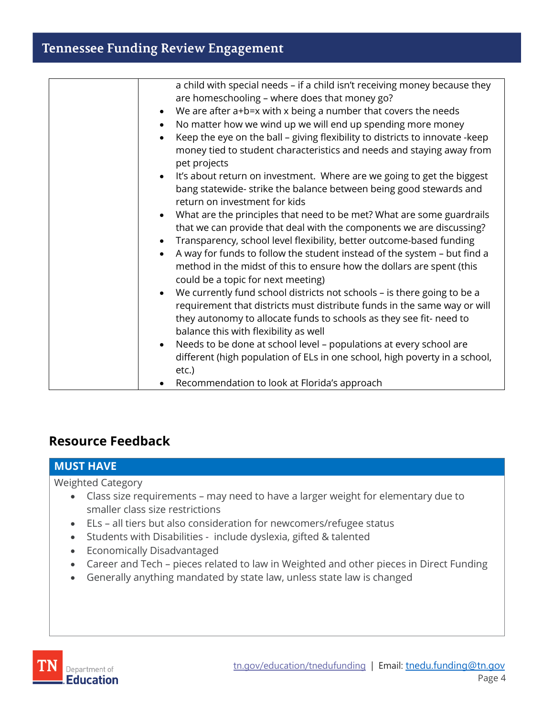| a child with special needs - if a child isn't receiving money because they           |
|--------------------------------------------------------------------------------------|
| are homeschooling - where does that money go?                                        |
| We are after a+b=x with x being a number that covers the needs<br>$\bullet$          |
| No matter how we wind up we will end up spending more money                          |
| Keep the eye on the ball - giving flexibility to districts to innovate -keep         |
| money tied to student characteristics and needs and staying away from                |
| pet projects                                                                         |
| It's about return on investment. Where are we going to get the biggest               |
| bang statewide- strike the balance between being good stewards and                   |
| return on investment for kids                                                        |
| What are the principles that need to be met? What are some guardrails<br>$\bullet$   |
| that we can provide that deal with the components we are discussing?                 |
| Transparency, school level flexibility, better outcome-based funding                 |
| A way for funds to follow the student instead of the system - but find a             |
| method in the midst of this to ensure how the dollars are spent (this                |
| could be a topic for next meeting)                                                   |
| We currently fund school districts not schools - is there going to be a<br>$\bullet$ |
| requirement that districts must distribute funds in the same way or will             |
| they autonomy to allocate funds to schools as they see fit- need to                  |
| balance this with flexibility as well                                                |
| Needs to be done at school level - populations at every school are                   |
| different (high population of ELs in one school, high poverty in a school,           |
| etc.)                                                                                |
| Recommendation to look at Florida's approach                                         |

### **Resource Feedback**

| <b>MUST HAVE</b>                                                                                                                                                                                                                                                                                                                                                                           |  |  |
|--------------------------------------------------------------------------------------------------------------------------------------------------------------------------------------------------------------------------------------------------------------------------------------------------------------------------------------------------------------------------------------------|--|--|
| <b>Weighted Category</b><br>• Class size requirements – may need to have a larger weight for elementary due to<br>smaller class size restrictions                                                                                                                                                                                                                                          |  |  |
| • ELs - all tiers but also consideration for newcomers/refugee status<br>Students with Disabilities - include dyslexia, gifted & talented<br>$\bullet$<br><b>Economically Disadvantaged</b><br>$\bullet$<br>Career and Tech – pieces related to law in Weighted and other pieces in Direct Funding<br>$\bullet$<br>• Generally anything mandated by state law, unless state law is changed |  |  |